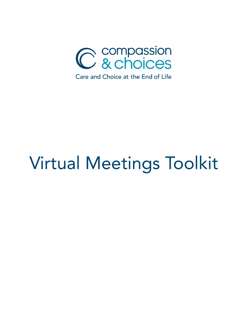

# Virtual Meetings Toolkit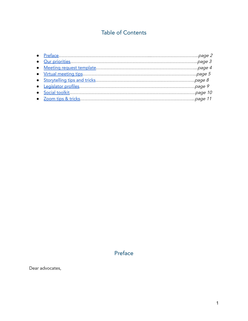# Table of Contents

## Preface

<span id="page-1-0"></span>Dear advocates,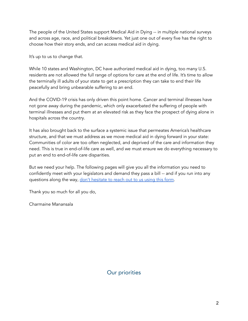The people of the United States support Medical Aid in Dying -- in multiple national surveys and across age, race, and political breakdowns. Yet just one out of every five has the right to choose how their story ends, and can access medical aid in dying.

It's up to us to change that.

While 10 states and Washington, DC have authorized medical aid in dying, too many U.S. residents are not allowed the full range of options for care at the end of life. It's time to allow the terminally ill adults of your state to get a prescription they can take to end their life peacefully and bring unbearable suffering to an end.

And the COVID-19 crisis has only driven this point home. Cancer and terminal illnesses have not gone away during the pandemic, which only exacerbated the suffering of people with terminal illnesses and put them at an elevated risk as they face the prospect of dying alone in hospitals across the country.

It has also brought back to the surface a systemic issue that permeates America's healthcare structure, and that we must address as we move medical aid in dying forward in your state: Communities of color are too often neglected, and deprived of the care and information they need. This is true in end-of-life care as well, and we must ensure we do everything necessary to put an end to end-of-life care disparities.

But we need your help. The following pages will give you all the information you need to confidently meet with your legislators and demand they pass a bill -- and if you run into any questions along the way, don't [hesitate](https://compassionandchoices.org/survey/how-can-we-help/) to reach out to us using this form.

Thank you so much for all you do,

<span id="page-2-0"></span>Charmaine Manansala

Our priorities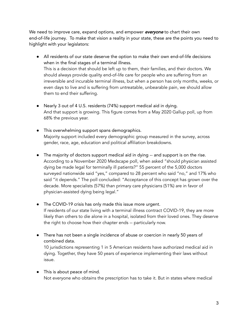We need to improve care, expand options, and empower everyone to chart their own end-of-life journey. To make that vision a reality in your state, these are the points you need to highlight with your legislators:

- All residents of our state deserve the option to make their own end-of-life decisions when in the final stages of a terminal illness. This is a decision that should be left up to them, their families, and their doctors. We should always provide quality end-of-life care for people who are suffering from an irreversible and incurable terminal illness, but when a person has only months, weeks, or even days to live and is suffering from untreatable, unbearable pain, we should allow them to end their suffering.
- Nearly 3 out of 4 U.S. residents (74%) support medical aid in dying. And that support is growing. This figure comes from a May 2020 Gallup poll, up from 68% the previous year.
- This overwhelming support spans demographics. Majority support included every demographic group measured in the survey, across gender, race, age, education and political affiliation breakdowns.
- The majority of doctors support medical aid in dying -- and support is on the rise. According to a November 2020 Medscape poll, when asked "should physician assisted dying be made legal for terminally ill patients?" 55 percent of the 5,000 doctors surveyed nationwide said "yes," compared to 28 percent who said "no," and 17% who said "it depends." The poll concluded: "Acceptance of this concept has grown over the decade. More specialists (57%) than primary care physicians (51%) are in favor of physician-assisted dying being legal."
- The COVID-19 crisis has only made this issue more urgent. If residents of our state living with a terminal illness contract COVID-19, they are more likely than others to die alone in a hospital, isolated from their loved ones. They deserve the right to choose how their chapter ends -- particularly now.
- There has not been a single incidence of abuse or coercion in nearly 50 years of combined data.

10 jurisdictions representing 1 in 5 American residents have authorized medical aid in dying. Together, they have 50 years of experience implementing their laws without issue.

● This is about peace of mind. Not everyone who obtains the prescription has to take it. But in states where medical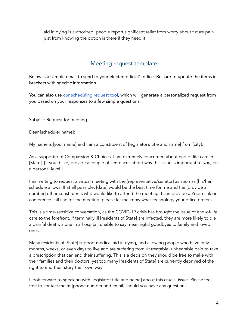aid in dying is authorized, people report significant relief from worry about future pain just from knowing the option is there if they need it.

## Meeting request template

<span id="page-4-0"></span>Below is a sample email to send to your elected official's office. Be sure to update the items in brackets with specific information.

You can also use our [scheduling](https://compassionandchoices.org/survey/how-can-we-help/) request tool, which will generate a personalized request from you based on your responses to a few simple questions.

Subject: Request for meeting

Dear [scheduler name]:

My name is [your name] and I am a constituent of [legislator's title and name] from [city].

As a supporter of Compassion & Choices, I am extremely concerned about end of life care in [State]. [If you'd like, provide a couple of sentences about why this issue is important to you, on a personal level.]

I am writing to request a virtual meeting with the [representative/senator] as soon as [his/her] schedule allows. If at all possible, [date] would be the best time for me and the [provide a number] other constituents who would like to attend the meeting. I can provide a Zoom link or conference call line for the meeting; please let me know what technology your office prefers.

This is a time-sensitive conversation, as the COVID-19 crisis has brought the issue of end-of-life care to the forefront. If terminally ill [residents of State] are infected, they are more likely to die a painful death, alone in a hospital, unable to say meaningful goodbyes to family and loved ones.

Many residents of [State] support medical aid in dying, and allowing people who have only months, weeks, or even days to live and are suffering from untreatable, unbearable pain to take a prescription that can end their suffering. This is a decision they should be free to make with their families and their doctors, yet too many [residents of State] are currently deprived of the right to end their story their own way.

I look forward to speaking with [legislator title and name] about this crucial issue. Please feel free to contact me at [phone number and email] should you have any questions.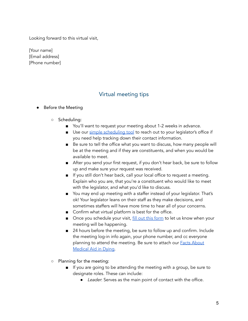Looking forward to this virtual visit,

[Your name] [Email address] [Phone number]

## Virtual meeting tips

#### <span id="page-5-0"></span>**●** Before the Meeting

- **○** Scheduling:
	- You'll want to request your meeting about 1-2 weeks in advance.
	- Use our simple [scheduling](https://actnow.io/N32Hm3g) tool to reach out to your legislator's office if you need help tracking down their contact information.
	- Be sure to tell the office what you want to discuss, how many people will be at the meeting and if they are constituents, and when you would be available to meet.
	- After you send your first request, if you don't hear back, be sure to follow up and make sure your request was received.
	- If you still don't hear back, call your local office to request a meeting. Explain who you are, that you're a constituent who would like to meet with the legislator, and what you'd like to discuss.
	- You may end up meeting with a staffer instead of your legislator. That's ok! Your legislator leans on their staff as they make decisions, and sometimes staffers will have more time to hear all of your concerns.
	- Confirm what virtual platform is best for the office.
	- Once you schedule your visit, fill out this [form](https://compassionandchoices.org/survey/got-a-meeting-on-the-books/) to let us know when your meeting will be happening.
	- 24 hours before the meeting, be sure to follow up and confirm. Include the meeting log-in info again, your phone number, and cc everyone planning to attend the meeting. Be sure to attach our **Facts [About](https://compassionandchoices.org/resource/the-facts-about-medical-aid-in-dying/)** [Medical](https://compassionandchoices.org/resource/the-facts-about-medical-aid-in-dying/) Aid in Dying.
- **○** Planning for the meeting:
	- If you are going to be attending the meeting with a group, be sure to designate roles. These can include:
		- *●* Leader: Serves as the main point of contact with the office.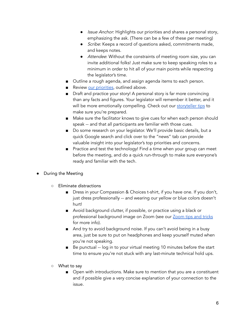- *●* Issue Anchor: Highlights our priorities and shares a personal story, emphasizing the ask. (There can be a few of these per meeting)
- *●* Scribe: Keeps a record of questions asked, commitments made, and keeps notes.
- *●* Attendee: Without the constraints of meeting room size, you can invite additional folks! Just make sure to keep speaking roles to a minimum in order to hit all of your main points while respecting the legislator's time.
- Outline a rough agenda, and assign agenda items to each person.
- Review our [priorities,](#page-2-0) outlined above.
- Draft and practice your story! A personal story is far more convincing than any facts and figures. Your legislator will remember it better, and it will be more emotionally compelling. Check out our [storyteller](#page-8-0) tips to make sure you're prepared.
- Make sure the facilitator knows to give cues for when each person should speak -- and that all participants are familiar with those cues.
- Do some research on your legislator. We'll provide basic details, but a quick Google search and click over to the "news" tab can provide valuable insight into your legislator's top priorities and concerns.
- Practice and test the technology! Find a time when your group can meet before the meeting, and do a quick run-through to make sure everyone's ready and familiar with the tech.
- **●** During the Meeting
	- **○** Eliminate distractions
		- Dress in your Compassion & Choices t-shirt, if you have one. If you don't, just dress professionally -- and wearing our yellow or blue colors doesn't hurt!
		- Avoid background clutter, if possible, or practice using a black or professional background image on Zoom (see our [Zoom](#page-11-0) tips and tricks for more info).
		- And try to avoid background noise. If you can't avoid being in a busy area, just be sure to put on headphones and keep yourself muted when you're not speaking.
		- Be punctual -- log in to your virtual meeting 10 minutes before the start time to ensure you're not stuck with any last-minute technical hold ups.
	- **○** What to say
		- Open with introductions. Make sure to mention that you are a constituent and if possible give a very concise explanation of your connection to the issue.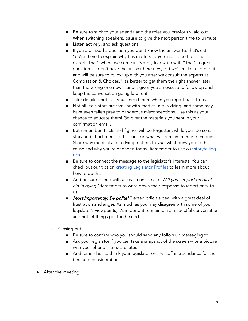- Be sure to stick to your agenda and the roles you previously laid out. When switching speakers, pause to give the next person time to unmute.
- Listen actively, and ask questions.
- If you are asked a question you don't know the answer to, that's ok! You're there to explain why this matters to you, not to be the issue expert. That's where we come in. Simply follow up with "That's a great question -- I don't have the answer here now, but we'll make a note of it and will be sure to follow up with you after we consult the experts at Compassion & Choices." It's better to get them the right answer later than the wrong one now -- and it gives you an excuse to follow up and keep the conversation going later on!
- Take detailed notes -- you'll need them when you report back to us.
- Not all legislators are familiar with medical aid in dying, and some may have even fallen prey to dangerous misconceptions. Use this as your chance to educate them! Go over the materials you sent in your confirmation email.
- But remember: Facts and figures will be forgotten, while your personal story and attachment to this cause is what will remain in their memories. Share why medical aid in dying matters to you, what drew you to this cause and why you're engaged today. Remember to use our [storytelling](#page-8-0) [tips.](#page-8-0)
- Be sure to connect the message to the legislator's interests. You can check out our tips on **creating [Legislator](#page-9-0) Profiles** to learn more about how to do this.
- And be sure to end with a clear, concise ask: Will you support medical aid in dying? Remember to write down their response to report back to us.
- Most importantly: Be polite! Elected officials deal with a great deal of frustration and anger. As much as you may disagree with some of your legislator's viewpoints, it's important to maintain a respectful conversation and not let things get too heated.
- **○** Closing out
	- Be sure to confirm who you should send any follow up messaging to.
	- Ask your legislator if you can take a snapshot of the screen -- or a picture with your phone -- to share later.
	- And remember to thank your legislator or any staff in attendance for their time and consideration.
- **●** After the meeting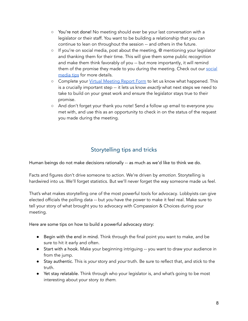- **○** You're not done! No meeting should ever be your last conversation with a legislator or their staff. You want to be building a relationship that you can continue to lean on throughout the session -- and others in the future.
- If you're on social media, post about the meeting, @ mentioning your legislator and thanking them for their time. This will give them some public recognition and make them think favorably of you -- but more importantly, it will remind them of the promise they made to you during the meeting. Check out our [social](#page-10-0) [media](#page-10-0) tips for more details.
- Complete your Virtual [Meeting](https://compassionandchoices.org/survey/tell-us-how-it-went/) Report Form to let us know what happened. This is a crucially important step -- it lets us know exactly what next steps we need to take to build on your great work and ensure the legislator stays true to their promise.
- And don't forget your thank you note! Send a follow up email to everyone you met with, and use this as an opportunity to check in on the status of the request you made during the meeting.

# Storytelling tips and tricks

<span id="page-8-0"></span>Human beings do not make decisions rationally -- as much as we'd like to think we do.

Facts and figures don't drive someone to action. We're driven by *emotion*. Storytelling is hardwired into us. We'll forget statistics. But we'll never forget the way someone made us feel.

That's what makes storytelling one of the most powerful tools for advocacy. Lobbyists can give elected officials the polling data -- but you have the power to make it feel real. Make sure to tell your story of what brought you to advocacy with Compassion & Choices during your meeting.

Here are some tips on how to build a powerful advocacy story:

- **●** Begin with the end in mind. Think through the final point you want to make, and be sure to hit it early and often.
- **●** Start with a hook. Make your beginning intriguing -- you want to draw your audience in from the jump.
- **●** Stay authentic. This is your story and your truth. Be sure to reflect that, and stick to the truth.
- **●** Yet stay relatable. Think through who your legislator is, and what's going to be most interesting about your story to them.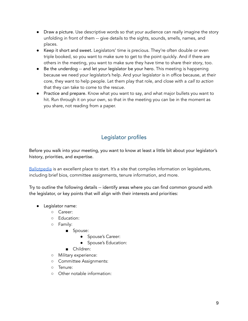- **●** Draw a picture. Use descriptive words so that your audience can really imagine the story unfolding in front of them -- give details to the sights, sounds, smells, names, and places.
- **●** Keep it short and sweet. Legislators' time is precious. They're often double or even triple booked, so you want to make sure to get to the point quickly. And if there are others in the meeting, you want to make sure they have time to share their story, too.
- **●** Be the underdog -- and let your legislator be your hero. This meeting is happening because we need your legislator's help. And your legislator is in office because, at their core, they want to help people. Let them play that role, and close with a call to action that they can take to come to the rescue.
- **●** Practice and prepare. Know what you want to say, and what major bullets you want to hit. Run through it on your own, so that in the meeting you can be in the moment as you share, not reading from a paper.

# Legislator profiles

<span id="page-9-0"></span>Before you walk into your meeting, you want to know at least a little bit about your legislator's history, priorities, and expertise.

[Ballotpedia](https://ballotpedia.org/) is an excellent place to start. It's a site that compiles information on legislatures, including brief bios, committee assignments, tenure information, and more.

Try to outline the following details -- identify areas where you can find common ground with the legislator, or key points that will align with their interests and priorities:

- **●** Legislator name:
	- Career:
	- Education:
	- Family:
		- Spouse:
			- Spouse's Career:
			- Spouse's Education:
		- Children:
	- Military experience:
	- Committee Assignments:
	- Tenure:
	- Other notable information: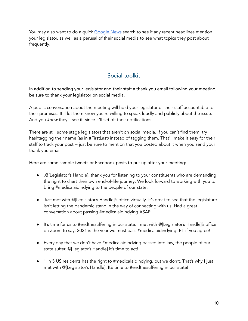You may also want to do a quick [Google](https://news.google.com/) News search to see if any recent headlines mention your legislator, as well as a perusal of their social media to see what topics they post about frequently.

## Social toolkit

<span id="page-10-0"></span>In addition to sending your legislator and their staff a thank you email following your meeting, be sure to thank your legislator on social media.

A public conversation about the meeting will hold your legislator or their staff accountable to their promises. It'll let them know you're willing to speak loudly and publicly about the issue. And you know they'll see it, since it'll set off their notifications.

There are still some stage legislators that aren't on social media. If you can't find them, try hashtagging their name (as in #FirstLast) instead of tagging them. That'll make it easy for their staff to track your post -- just be sure to mention that you posted about it when you send your thank you email.

Here are some sample tweets or Facebook posts to put up after your meeting:

- .@[Legislator's Handle], thank you for listening to your constituents who are demanding the right to chart their own end-of-life journey. We look forward to working with you to bring #medicalaidindying to the people of our state.
- Just met with @[Legislator's Handle]'s office virtually. It's great to see that the legislature isn't letting the pandemic stand in the way of connecting with us. Had a great conversation about passing #medicalaidindying ASAP!
- It's time for us to #endthesuffering in our state. I met with @[Legislator's Handle]'s office on Zoom to say: 2021 is the year we must pass #medicalaidindying. RT if you agree!
- Every day that we don't have #medicalaidindying passed into law, the people of our state suffer. @[Leglator's Handle] it's time to act!
- 1 in 5 US residents has the right to #medicalaidindying, but we don't. That's why I just met with @[Legislator's Handle]. It's time to #endthesuffering in our state!